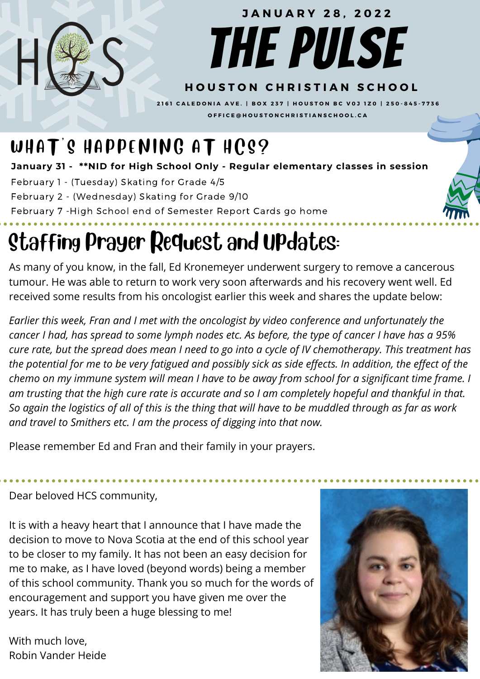

## THE PULSE **J A N U A R Y 2 8 , 2 0 2 2**

## **H O U S T O N C H R I S T I A N S C H O O L**

2161 CALEDONIA AVE. | BOX 237 | HOUSTON BC V0J 1Z0 | 250-845-7736 OFFICE@HOUSTONCHRISTIANSCHOOL.CA

## WHAT'S HAPPENING AT HCS?

**January 31 - \*\*NID for High School Only - Regular elementary classes in session**

February 1 - (Tuesday) Skating for Grade 4/5

February 2 - (Wednesday) Skating for Grade 9/10

February 7 -High School end of Semester Report Cards go home

## Staffing Prayer Request and Updates:

As many of you know, in the fall, Ed Kronemeyer underwent surgery to remove a cancerous tumour. He was able to return to work very soon afterwards and his recovery went well. Ed received some results from his oncologist earlier this week and shares the update below:

*Earlier this week, Fran and I met with the oncologist by video conference and unfortunately the* cancer I had, has spread to some lymph nodes etc. As before, the type of cancer I have has a 95% cure rate, but the spread does mean I need to go into a cycle of IV chemotherapy. This treatment has the potential for me to be very fatigued and possibly sick as side effects. In addition, the effect of the chemo on my immune system will mean I have to be away from school for a significant time frame. I am trusting that the high cure rate is accurate and so I am completely hopeful and thankful in that. So again the logistics of all of this is the thing that will have to be muddled through as far as work *and travel to Smithers etc. I am the process of digging into that now.*

Please remember Ed and Fran and their family in your prayers.

Dear beloved HCS community,

It is with a heavy heart that I announce that I have made the decision to move to Nova Scotia at the end of this school year to be closer to my family. It has not been an easy decision for me to make, as I have loved (beyond words) being a member of this school community. Thank you so much for the words of encouragement and support you have given me over the years. It has truly been a huge blessing to me!

With much love, Robin Vander Heide